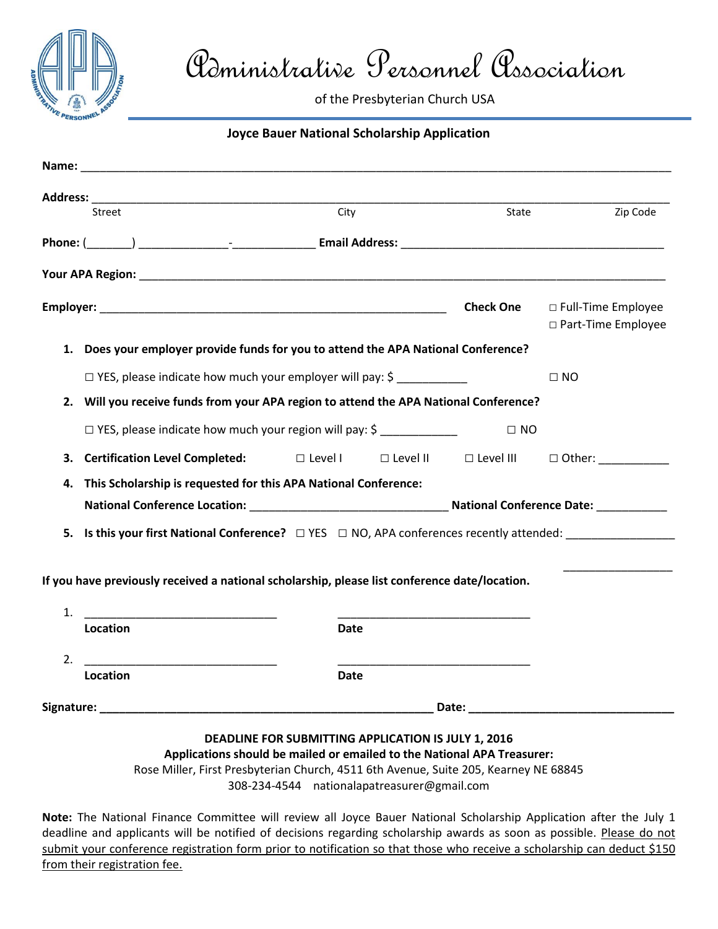

Administrative Personnel Association

of the Presbyterian Church USA

## **Joyce Bauer National Scholarship Application**

| Street                                                                                                                                                                                                                         | City                                                            |                 | State            | Zip Code                                     |  |
|--------------------------------------------------------------------------------------------------------------------------------------------------------------------------------------------------------------------------------|-----------------------------------------------------------------|-----------------|------------------|----------------------------------------------|--|
|                                                                                                                                                                                                                                |                                                                 |                 |                  |                                              |  |
|                                                                                                                                                                                                                                |                                                                 |                 |                  |                                              |  |
|                                                                                                                                                                                                                                |                                                                 |                 | <b>Check One</b> | □ Full-Time Employee<br>□ Part-Time Employee |  |
| 1. Does your employer provide funds for you to attend the APA National Conference?                                                                                                                                             |                                                                 |                 |                  |                                              |  |
|                                                                                                                                                                                                                                | $\Box$ YES, please indicate how much your employer will pay: \$ |                 |                  | $\Box$ NO                                    |  |
| 2. Will you receive funds from your APA region to attend the APA National Conference?                                                                                                                                          |                                                                 |                 |                  |                                              |  |
| $\Box$ YES, please indicate how much your region will pay: \$                                                                                                                                                                  |                                                                 |                 | $\Box$ NO        |                                              |  |
| <b>Certification Level Completed:</b><br>3.                                                                                                                                                                                    | $\Box$ Level I                                                  | $\Box$ Level II | $\Box$ Level III | $\Box$ Other:                                |  |
| 4.                                                                                                                                                                                                                             | This Scholarship is requested for this APA National Conference: |                 |                  |                                              |  |
|                                                                                                                                                                                                                                |                                                                 |                 |                  |                                              |  |
|                                                                                                                                                                                                                                |                                                                 |                 |                  |                                              |  |
| If you have previously received a national scholarship, please list conference date/location.<br>1.                                                                                                                            |                                                                 |                 |                  |                                              |  |
| Location                                                                                                                                                                                                                       | Date                                                            |                 |                  |                                              |  |
| 2.                                                                                                                                                                                                                             |                                                                 |                 |                  |                                              |  |
| Location                                                                                                                                                                                                                       | Date                                                            |                 |                  |                                              |  |
| Date: the contract of the contract of the contract of the contract of the contract of the contract of the contract of the contract of the contract of the contract of the contract of the contract of the contract of the cont |                                                                 |                 |                  |                                              |  |

## **DEADLINE FOR SUBMITTING APPLICATION IS JULY 1, 2016**

**Applications should be mailed or emailed to the National APA Treasurer:** Rose Miller, First Presbyterian Church, 4511 6th Avenue, Suite 205, Kearney NE 68845

308-234-4544 nationalapatreasurer@gmail.com

**Note:** The National Finance Committee will review all Joyce Bauer National Scholarship Application after the July 1 deadline and applicants will be notified of decisions regarding scholarship awards as soon as possible. Please do not submit your conference registration form prior to notification so that those who receive a scholarship can deduct \$150 from their registration fee.